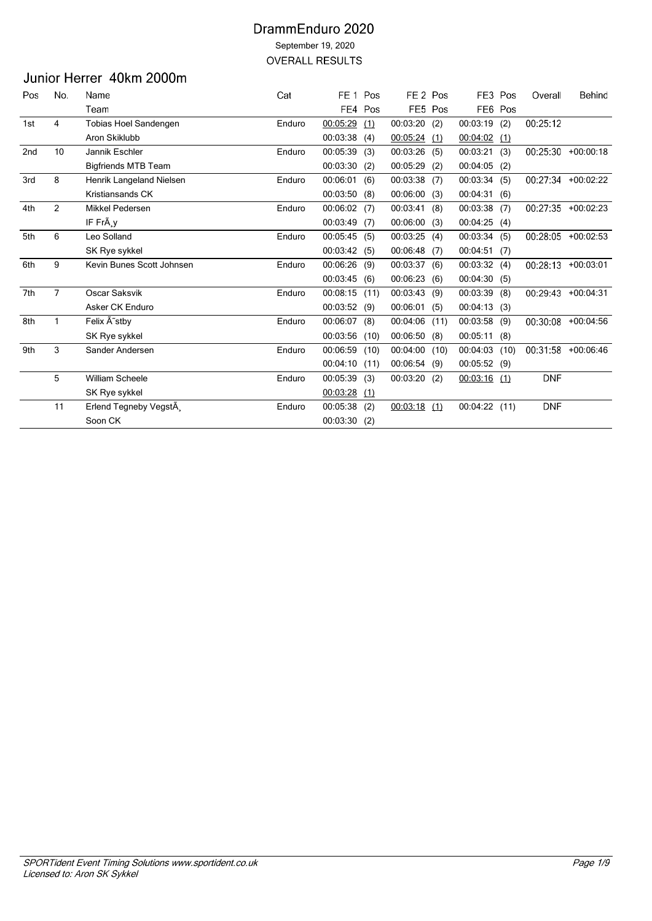# Junior Herrer 40km 2000m

| Pos | No.            | Name                       | Cat    | FE <sub>1</sub> | Pos  | FE <sub>2</sub> Pos |         | FE3             | Pos  | Overall    | Behind               |
|-----|----------------|----------------------------|--------|-----------------|------|---------------------|---------|-----------------|------|------------|----------------------|
|     |                | Team                       |        | FE4             | Pos  |                     | FE5 Pos | FE <sub>6</sub> | Pos  |            |                      |
| 1st | 4              | Tobias Hoel Sandengen      | Enduro | 00:05:29        | (1)  | 00:03:20            | (2)     | 00:03:19        | (2)  | 00:25:12   |                      |
|     |                | Aron Skiklubb              |        | 00:03:38        | (4)  | 00:05:24            | (1)     | 00:04:02        | (1)  |            |                      |
| 2nd | 10             | Jannik Eschler             | Enduro | 00:05:39        | (3)  | 00:03:26            | (5)     | 00:03:21        | (3)  |            | $00:25:30 +00:00:18$ |
|     |                | <b>Bigfriends MTB Team</b> |        | 00:03:30        | (2)  | 00:05:29            | (2)     | 00:04:05        | (2)  |            |                      |
| 3rd | 8              | Henrik Langeland Nielsen   | Enduro | 00:06:01        | (6)  | 00:03:38            | (7)     | 00:03:34        | (5)  |            | 00:27:34 +00:02:22   |
|     |                | Kristiansands CK           |        | 00:03:50        | (8)  | 00:06:00            | (3)     | 00:04:31        | (6)  |            |                      |
| 4th | $\overline{2}$ | Mikkel Pedersen            | Enduro | 00:06:02        | (7)  | 00:03:41            | (8)     | 00:03:38        | (7)  |            | 00:27:35 +00:02:23   |
|     |                | IF FrÃ, y                  |        | 00:03:49        | (7)  | 00:06:00            | (3)     | 00:04:25        | (4)  |            |                      |
| 5th | 6              | Leo Solland                | Enduro | 00:05:45        | (5)  | 00:03:25            | (4)     | 00:03:34        | (5)  | 00:28:05   | $+00:02:53$          |
|     |                | SK Rye sykkel              |        | 00:03:42(5)     |      | 00:06:48            | (7)     | 00:04:51        | (7)  |            |                      |
| 6th | 9              | Kevin Bunes Scott Johnsen  | Enduro | 00:06:26        | (9)  | 00:03:37            | (6)     | 00:03:32        | (4)  | 00:28:13   | $+00:03:01$          |
|     |                |                            |        | 00:03:45        | (6)  | 00:06:23            | (6)     | 00:04:30        | (5)  |            |                      |
| 7th | $\overline{7}$ | Oscar Saksvik              | Enduro | 00:08:15        | (11) | 00:03:43            | (9)     | 00:03:39        | (8)  | 00:29:43   | $+00:04:31$          |
|     |                | Asker CK Enduro            |        | 00:03:52(9)     |      | 00:06:01            | (5)     | 00:04:13        | (3)  |            |                      |
| 8th | 1              | Felix A stby               | Enduro | 00:06:07        | (8)  | 00:04:06            | (11)    | 00:03:58        | (9)  |            | 00:30:08 +00:04:56   |
|     |                | SK Rye sykkel              |        | 00:03:56        | (10) | 00:06:50            | (8)     | 00:05:11        | (8)  |            |                      |
| 9th | 3              | Sander Andersen            | Enduro | 00:06:59        | (10) | 00:04:00            | (10)    | 00:04:03        | (10) |            | 00:31:58 +00:06:46   |
|     |                |                            |        | 00:04:10        | (11) | 00:06:54            | (9)     | 00:05:52 (9)    |      |            |                      |
|     | 5              | <b>William Scheele</b>     | Enduro | 00:05:39        | (3)  | 00:03:20            | (2)     | $00:03:16$ (1)  |      | <b>DNF</b> |                      |
|     |                | SK Rye sykkel              |        | 00:03:28        | (1)  |                     |         |                 |      |            |                      |
|     | 11             | Erlend Tegneby VegstÃ,     | Enduro | 00:05:38        | (2)  | $00:03:18$ (1)      |         | 00:04:22 (11)   |      | <b>DNF</b> |                      |
|     |                | Soon CK                    |        | 00:03:30        | (2)  |                     |         |                 |      |            |                      |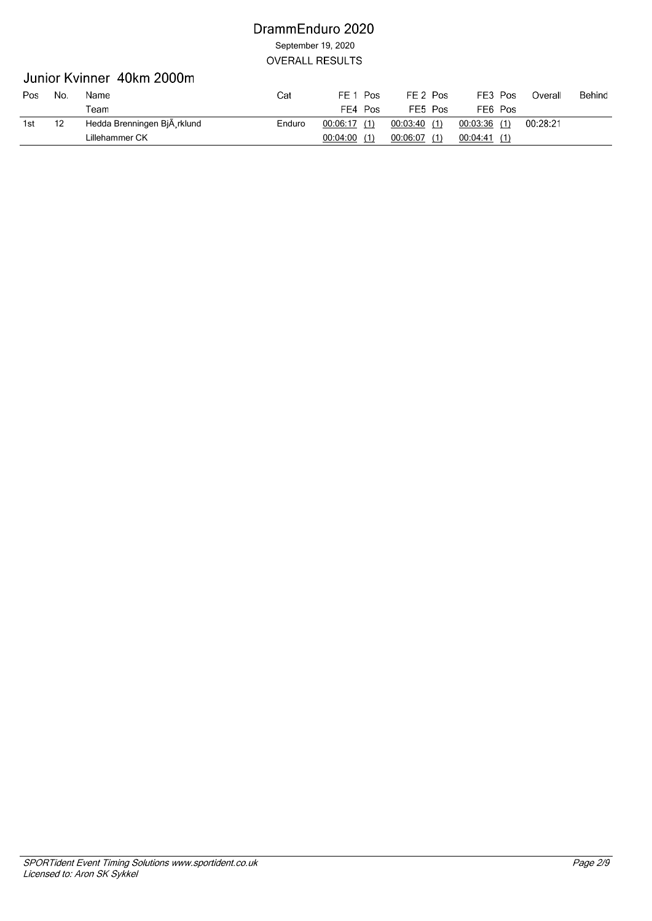### Junior Kvinner 40km 2000m

| Pos | No. | Name                        | Cat    | FE 1<br>Pos     | FE 2 Pos        | FE3 Pos         | Overall  | Behind |
|-----|-----|-----------------------------|--------|-----------------|-----------------|-----------------|----------|--------|
|     |     | $\tau$ eam                  |        | FF4 I<br>Pos    | FE5 Pos         | FE6 Pos         |          |        |
| 1st |     | Hedda Brenningen BjÄ rklund | Enduro | 00:06:17(1)     | 00:03:40<br>(1) | 00:03:36(1)     | 00:28:21 |        |
|     |     | Lillehammer CK              |        | 00:04:00<br>(1) | 00:06:07<br>(1) | 00:04:41<br>(1) |          |        |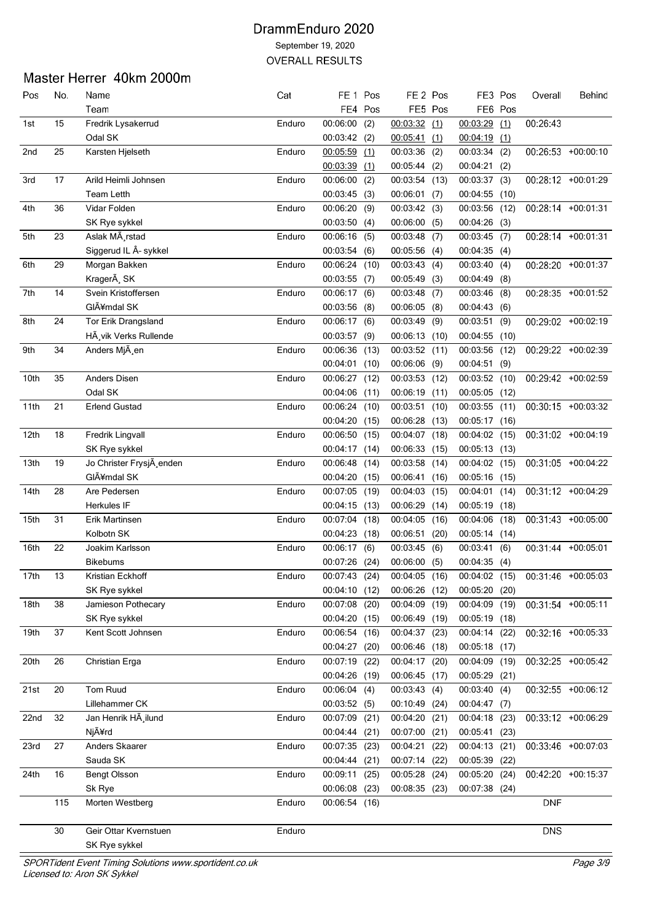# Master Herrer 40km 2000m

| Pos  | No. | Name                      | Cat    | FE <sub>1</sub>      | Pos     | FE <sub>2</sub> Pos |         | FE3            | Pos     | Overall    | Behind                          |
|------|-----|---------------------------|--------|----------------------|---------|---------------------|---------|----------------|---------|------------|---------------------------------|
|      |     | Team                      |        |                      | FE4 Pos |                     | FE5 Pos |                | FE6 Pos |            |                                 |
| 1st  | 15  | Fredrik Lysakerrud        | Enduro | 00:06:00             | (2)     | 00:03:32            | (1)     | 00:03:29       | (1)     | 00:26:43   |                                 |
|      |     | Odal SK                   |        | 00:03:42(2)          |         | 00:05:41            | (1)     | $00:04:19$ (1) |         |            |                                 |
| 2nd  | 25  | Karsten Hjelseth          | Enduro | 00:05:59             | (1)     | 00:03:36            | (2)     | 00:03:34       | (2)     |            | 00:26:53 +00:00:10              |
|      |     |                           |        | 00:03:39             | (1)     | 00:05:44(2)         |         | 00:04:21       | (2)     |            |                                 |
| 3rd  | 17  | Arild Heimli Johnsen      | Enduro | 00:06:00             | (2)     | 00:03:54 (13)       |         | 00:03:37       | (3)     |            | $\overline{00:28:12}$ +00:01:29 |
|      |     | <b>Team Letth</b>         |        | $00:03:45$ (3)       |         | $00:06:01$ (7)      |         | 00:04:55       | (10)    |            |                                 |
| 4th  | 36  | Vidar Folden              | Enduro | 00:06:20             | (9)     | 00:03:42(3)         |         | 00:03:56 (12)  |         |            | 00:28:14 +00:01:31              |
|      |     | SK Rye sykkel             |        | 00:03:50             | (4)     | 00:06:00            | (5)     | $00:04:26$ (3) |         |            |                                 |
| 5th  | 23  | Aslak MÃ rstad            | Enduro | $00:06:16$ (5)       |         | 00:03:48            | (7)     | 00:03:45       | (7)     |            | 00:28:14 +00:01:31              |
|      |     | Siggerud IL Â- sykkel     |        | 00:03:54(6)          |         | 00:05:56            | (4)     | 00:04:35(4)    |         |            |                                 |
| 6th  | 29  | Morgan Bakken             | Enduro | 00:06:24 (10)        |         | 00:03:43            | (4)     | 00:03:40       | (4)     |            | 00:28:20 +00:01:37              |
|      |     | KragerÃ, SK               |        | $00:03:55$ (7)       |         | 00:05:49            | (3)     | 00:04:49       | (8)     |            |                                 |
| 7th  | 14  | Svein Kristoffersen       | Enduro | 00:06:17(6)          |         | 00:03:48            | (7)     | 00:03:46       | (8)     |            | 00:28:35 +00:01:52              |
|      |     | GIÃ¥mdal SK               |        | 00:03:56             | (8)     | 00:06:05            | (8)     | 00:04:43       | (6)     |            |                                 |
| 8th  | 24  | Tor Erik Drangsland       | Enduro | 00:06:17(6)          |         | 00:03:49            | (9)     | 00:03:51       | (9)     |            | 00:29:02 +00:02:19              |
|      |     |                           |        |                      |         |                     |         |                |         |            |                                 |
|      |     | HÃ vik Verks Rullende     |        | 00:03:57<br>00:06:36 | (9)     | 00:06:13            | (10)    | 00:04:55       | (10)    |            |                                 |
| 9th  | 34  | Anders MjA en             | Enduro |                      | (13)    | 00:03:52            | (11)    | 00:03:56       | (12)    |            | 00:29:22 +00:02:39              |
|      |     |                           |        | 00:04:01 (10)        |         | 00:06:06            | (9)     | 00:04:51       | (9)     |            |                                 |
| 10th | 35  | Anders Disen              | Enduro | 00:06:27 (12)        |         | 00:03:53            | (12)    | 00:03:52       | (10)    |            | 00:29:42 +00:02:59              |
|      |     | Odal SK                   |        | 00:04:06             | (11)    | 00:06:19            | (11)    | 00:05:05       | (12)    |            |                                 |
| 11th | 21  | <b>Erlend Gustad</b>      | Enduro | 00:06:24             | (10)    | 00:03:51            | (10)    | 00:03:55       | (11)    |            | 00:30:15 +00:03:32              |
|      |     |                           |        | 00:04:20             | (15)    | 00:06:28            | (13)    | 00:05:17       | (16)    |            |                                 |
| 12th | 18  | Fredrik Lingvall          | Enduro | 00:06:50             | (15)    | 00:04:07            | (18)    | 00:04:02       | (15)    |            | 00:31:02 +00:04:19              |
|      |     | SK Rye sykkel             |        | 00:04:17(14)         |         | 00:06:33            | (15)    | 00:05:13       | (13)    |            |                                 |
| 13th | 19  | Jo Christer FrysjÂ, enden | Enduro | 00:06:48             | (14)    | 00:03:58            | (14)    | 00:04:02       | (15)    |            | 00:31:05 +00:04:22              |
|      |     | GIÃ¥mdal SK               |        | 00:04:20             | (15)    | 00:06:41            | (16)    | 00:05:16       | (15)    |            |                                 |
| 14th | 28  | Are Pedersen              | Enduro | 00:07:05             | (19)    | 00:04:03            | (15)    | 00:04:01       | (14)    |            | 00:31:12 +00:04:29              |
|      |     | Herkules IF               |        | $00:04:15$ (13)      |         | 00:06:29            | (14)    | 00:05:19       | (18)    |            |                                 |
| 15th | 31  | Erik Martinsen            | Enduro | 00:07:04             | (18)    | 00:04:05            | (16)    | 00:04:06       | (18)    |            | 00:31:43 +00:05:00              |
|      |     | Kolbotn SK                |        | 00:04:23 (18)        |         | 00:06:51            | (20)    | 00:05:14       | (14)    |            |                                 |
| 16th | 22  | Joakim Karlsson           | Enduro | 00:06:17             | (6)     | 00:03:45            | (6)     | 00:03:41       | (6)     |            | 00:31:44 +00:05:01              |
|      |     | Bikebums                  |        | 00:07:26             | (24)    | 00:06:00            | (5)     | 00:04:35(4)    |         |            |                                 |
| 17th | 13  | Kristian Eckhoff          | Enduro | 00:07:43             | (24)    | 00:04:05            | (16)    | 00:04:02 (15)  |         |            | 00:31:46 +00:05:03              |
|      |     | SK Rye sykkel             |        | 00:04:10 (12)        |         | 00:06:26 (12)       |         | 00:05:20 (20)  |         |            |                                 |
| 18th | 38  | Jamieson Pothecary        | Enduro | 00:07:08             | (20)    | 00:04:09            | (19)    | 00:04:09       | (19)    |            | 00:31:54 +00:05:11              |
|      |     | SK Rye sykkel             |        | 00:04:20 (15)        |         | 00:06:49            | (19)    | 00:05:19 (18)  |         |            |                                 |
| 19th | 37  | Kent Scott Johnsen        | Enduro | 00:06:54 (16)        |         | 00:04:37 (23)       |         | 00:04:14       | (22)    |            | 00:32:16 +00:05:33              |
|      |     |                           |        | 00:04:27 (20)        |         | 00:06:46            | (18)    | 00:05:18 (17)  |         |            |                                 |
| 20th | 26  | Christian Erga            | Enduro | 00:07:19 (22)        |         | 00:04:17 (20)       |         | 00:04:09 (19)  |         |            | 00:32:25 +00:05:42              |
|      |     |                           |        | 00:04:26 (19)        |         | 00:06:45            | (17)    | 00:05:29       | (21)    |            |                                 |
| 21st | 20  | Tom Ruud                  | Enduro | $00:06:04$ (4)       |         | 00:03:43            | (4)     | 00:03:40(4)    |         |            | 00:32:55 +00:06:12              |
|      |     | Lillehammer CK            |        | 00:03:52(5)          |         | 00:10:49            | (24)    | 00:04:47       | (7)     |            |                                 |
| 22nd | 32  | Jan Henrik HÃ ilund       | Enduro | 00:07:09             | (21)    | 00:04:20            | (21)    | 00:04:18       | (23)    |            | 00:33:12 +00:06:29              |
|      |     | Njård                     |        | 00:04:44 (21)        |         | 00:07:00            | (21)    | 00:05:41       | (23)    |            |                                 |
| 23rd | 27  | Anders Skaarer            | Enduro | 00:07:35             | (23)    | 00:04:21            | (22)    | 00:04:13 (21)  |         |            | 00:33:46 +00:07:03              |
|      |     | Sauda SK                  |        | 00:04:44 (21)        |         | 00:07:14 (22)       |         | 00:05:39       | (22)    |            |                                 |
| 24th | 16  | <b>Bengt Olsson</b>       | Enduro | 00:09:11 (25)        |         | 00:05:28            | (24)    | 00:05:20       | (24)    |            | 00:42:20 +00:15:37              |
|      |     | Sk Rye                    |        | 00:06:08             | (23)    | 00:08:35 (23)       |         | 00:07:38 (24)  |         |            |                                 |
|      | 115 | Morten Westberg           | Enduro | 00:06:54 (16)        |         |                     |         |                |         | <b>DNF</b> |                                 |
|      |     |                           |        |                      |         |                     |         |                |         |            |                                 |
|      | 30  | Geir Ottar Kvernstuen     | Enduro |                      |         |                     |         |                |         | <b>DNS</b> |                                 |
|      |     | SK Rye sykkel             |        |                      |         |                     |         |                |         |            |                                 |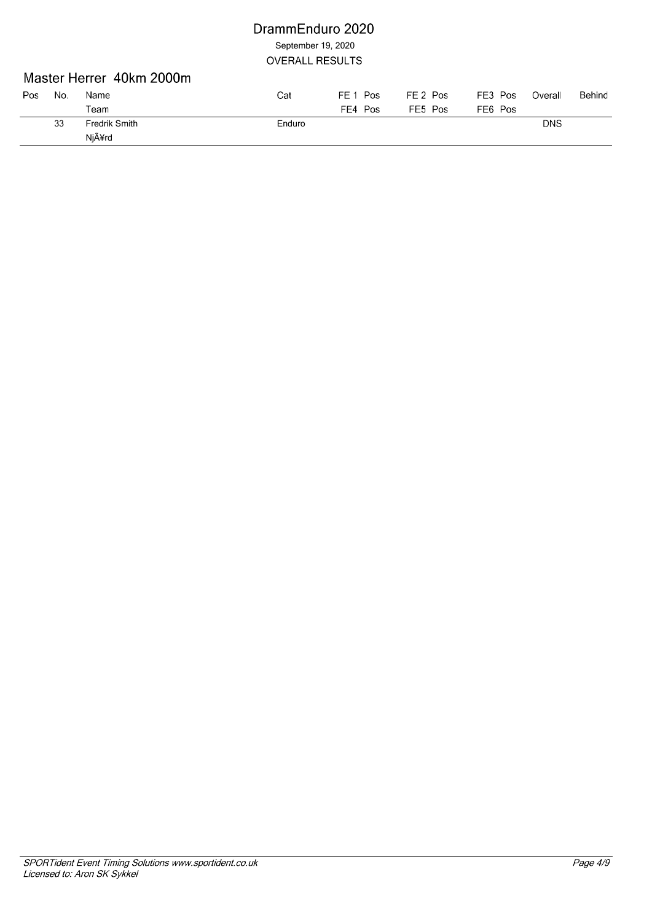### Master Herrer 40km 2000m

| Pos | No. | Name          | Cat    | FE 1 Pos | FE 2 Pos | FE3 Pos | Overall    | Behind |
|-----|-----|---------------|--------|----------|----------|---------|------------|--------|
|     |     | $\tau$ eam    |        | FE4 Pos  | FE5 Pos  | FE6 Pos |            |        |
|     | 33  | Fredrik Smith | Enduro |          |          |         | <b>DNS</b> |        |
|     |     | Njård         |        |          |          |         |            |        |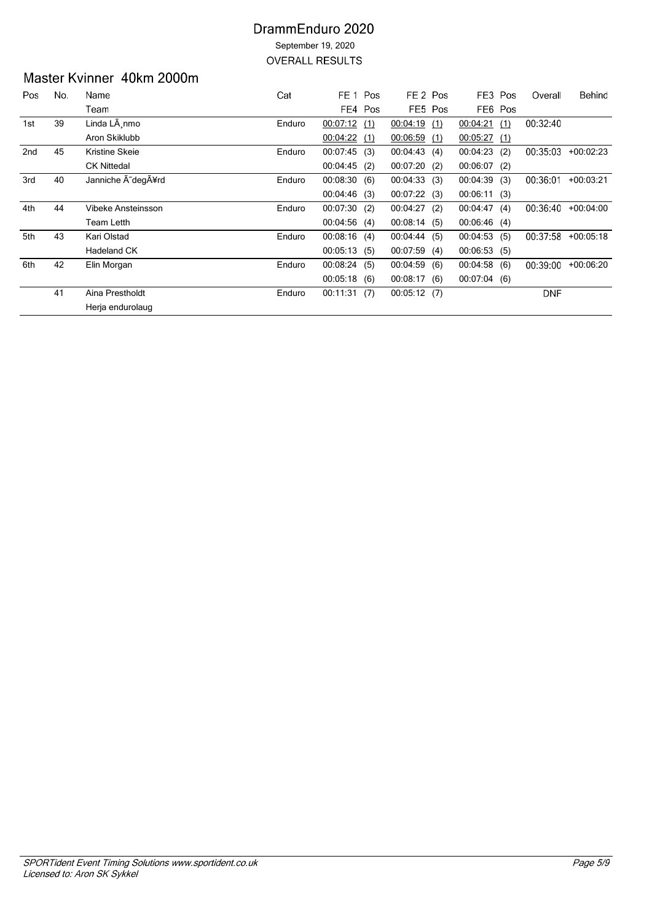# Master Kvinner 40km 2000m

| Pos | No. | Name               | Cat    | FE <sub>1</sub> Pos |     | FE <sub>2</sub> Pos |         | FE3 Pos     |         | Overall    | Behind      |
|-----|-----|--------------------|--------|---------------------|-----|---------------------|---------|-------------|---------|------------|-------------|
|     |     | Team               |        | FE4 Pos             |     |                     | FE5 Pos |             | FE6 Pos |            |             |
| 1st | 39  | Linda LÃ nmo       | Enduro | 00:07:12(1)         |     | $00:04:19$ (1)      |         | 00:04:21    | (1)     | 00:32:40   |             |
|     |     | Aron Skiklubb      |        | 00:04:22            | (1) | 00:06:59            | (1)     | 00:05:27    | (1)     |            |             |
| 2nd | 45  | Kristine Skeie     | Enduro | $00:07:45$ (3)      |     | 00:04:43(4)         |         | 00:04:23    | (2)     | 00:35:03   | $+00:02:23$ |
|     |     | <b>CK Nittedal</b> |        | $00:04:45$ (2)      |     | 00:07:20(2)         |         | 00:06:07    | (2)     |            |             |
| 3rd | 40  | Janniche A~degA¥rd | Enduro | 00:08:30(6)         |     | 00:04:33(3)         |         | 00:04:39    | (3)     | 00:36:01   | $+00:03:21$ |
|     |     |                    |        | 00:04:46(3)         |     | 00:07:22(3)         |         | 00:06:11(3) |         |            |             |
| 4th | 44  | Vibeke Ansteinsson | Enduro | 00:07:30(2)         |     | 00:04:27(2)         |         | 00:04:47    | (4)     | 00:36:40   | $+00:04:00$ |
|     |     | <b>Team Letth</b>  |        | 00:04:56(4)         |     | 00:08:14(5)         |         | 00:06:46    | (4)     |            |             |
| 5th | 43  | Kari Olstad        | Enduro | $00:08:16$ (4)      |     | 00:04:44(5)         |         | 00:04:53    | (5)     | 00:37:58   | $+00:05:18$ |
|     |     | Hadeland CK        |        | 00:05:13(5)         |     | 00:07:59(4)         |         | 00:06:53    | (5)     |            |             |
| 6th | 42  | Elin Morgan        | Enduro | 00:08:24            | (5) | 00:04:59            | (6)     | 00:04:58    | (6)     | 00:39:00   | $+00.06:20$ |
|     |     |                    |        | 00:05:18(6)         |     | 00:08:17(6)         |         | 00:07:04(6) |         |            |             |
|     | 41  | Aina Prestholdt    | Enduro | 00:11:31            | (7) | 00:05:12(7)         |         |             |         | <b>DNF</b> |             |
|     |     | Herja endurolaug   |        |                     |     |                     |         |             |         |            |             |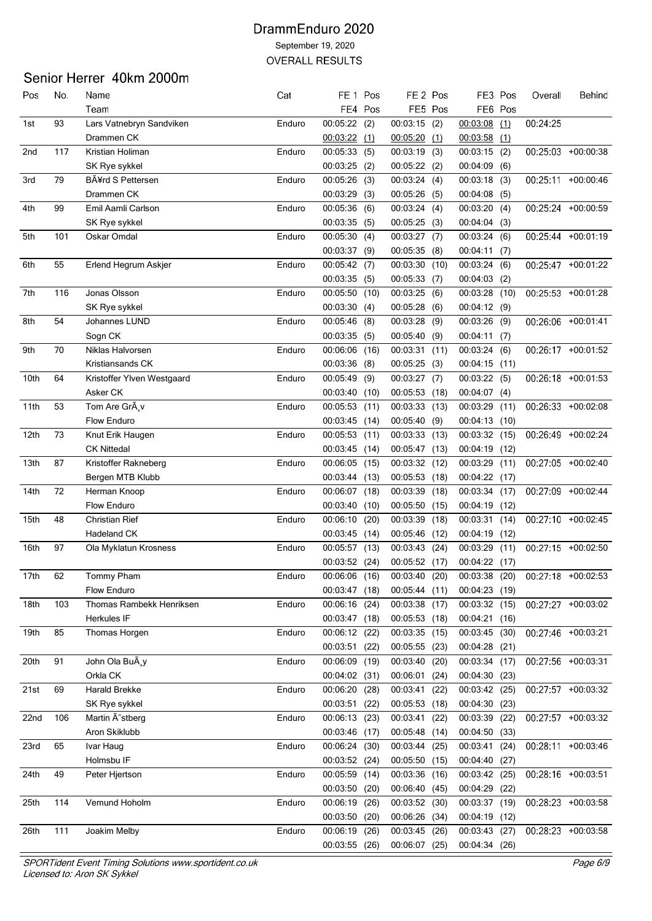# Senior Herrer 40km 2000m

| Pos             | No. | Name                         | Cat    | FE 1                           | Pos     | FE <sub>2</sub> Pos |         |                      | FE3 Pos | Overall  | Behind             |
|-----------------|-----|------------------------------|--------|--------------------------------|---------|---------------------|---------|----------------------|---------|----------|--------------------|
|                 |     | Team                         |        |                                | FE4 Pos |                     | FE5 Pos |                      | FE6 Pos |          |                    |
| 1st             | 93  | Lars Vatnebryn Sandviken     | Enduro | $00:05:22$ (2)                 |         | $00:03:15$ (2)      |         | 00:03:08             | (1)     | 00:24:25 |                    |
|                 |     | Drammen CK                   |        | $00:03:22$ (1)                 |         | 00.05:20(1)         |         | $00:03:58$ (1)       |         |          |                    |
| 2 <sub>nd</sub> | 117 | Kristian Holiman             | Enduro | 00:05:33                       | (5)     | 00:03:19            | (3)     | 00:03:15             | (2)     |          | 00:25:03 +00:00:38 |
|                 |     | SK Rye sykkel                |        | $00:03:25$ (2)                 |         | $00:05:22$ (2)      |         | 00:04:09             | (6)     |          |                    |
| 3rd             | 79  | BÃ¥rd S Pettersen            | Enduro | 00:05:26                       | (3)     | 00:03:24(4)         |         | 00:03:18             | (3)     |          | 00:25:11 +00:00:46 |
|                 |     | Drammen CK                   |        | 00:03:29                       | (3)     | 00:05:26            | (5)     | 00:04:08             | (5)     |          |                    |
| 4th             | 99  | Emil Aamli Carlson           | Enduro | 00:05:36(6)                    |         | 00:03:24(4)         |         | 00:03:20             | (4)     |          | 00:25:24 +00:00:59 |
|                 |     | SK Rye sykkel                |        | 00:03:35(5)                    |         | $00:05:25$ (3)      |         | 00:04:04             | (3)     |          |                    |
| 5th             | 101 | Oskar Omdal                  | Enduro | 00:05:30                       | (4)     | 00:03:27(7)         |         | 00:03:24             | (6)     |          | 00:25:44 +00:01:19 |
|                 |     |                              |        | 00:03:37                       | (9)     | 00:05:35            | (8)     | 00:04:11             | (7)     |          |                    |
| 6th             | 55  | Erlend Hegrum Askjer         | Enduro | 00:05:42(7)                    |         | 00:03:30            | (10)    | 00:03:24             | (6)     |          | 00:25:47 +00:01:22 |
|                 |     |                              |        | 00:03:35(5)                    |         | 00:05:33            | (7)     | 00:04:03             | (2)     |          |                    |
| 7th             | 116 | Jonas Olsson                 | Enduro | 00:05:50                       | (10)    | 00:03:25            | (6)     | 00:03:28             | (10)    |          | 00:25:53 +00:01:28 |
|                 |     | SK Rye sykkel                |        | 00:03:30                       | (4)     | 00:05:28            | (6)     | 00:04:12             | (9)     |          |                    |
| 8th             | 54  | Johannes LUND                | Enduro | 00:05:46                       | (8)     | 00:03:28            | (9)     | 00:03:26             | (9)     |          | 00:26:06 +00:01:41 |
|                 |     | Sogn CK                      |        | 00:03:35                       | (5)     | 00:05:40            | (9)     | 00:04:11             | (7)     |          |                    |
| 9th             | 70  | Niklas Halvorsen             | Enduro | 00:06:06                       | (16)    | 00:03:31 (11)       |         | 00:03:24             | (6)     |          | 00:26:17 +00:01:52 |
|                 |     | Kristiansands CK             |        | $00:03:36$ (8)                 |         | 00:05:25(3)         |         | $00:04:15$ (11)      |         |          |                    |
| 10th            | 64  | Kristoffer Ylven Westgaard   | Enduro | 00:05:49                       | (9)     | 00:03:27            | (7)     | 00:03:22(5)          |         |          | 00:26:18 +00:01:53 |
|                 |     | Asker CK                     |        | 00:03:40                       | (10)    | 00:05:53            | (18)    | 00:04:07             | (4)     |          |                    |
| 11th            | 53  | Tom Are GrÃ, v               | Enduro | 00:05:53                       | (11)    | 00:03:33            | (13)    | 00:03:29             | (11)    |          | 00:26:33 +00:02:08 |
|                 |     | Flow Enduro                  |        | 00:03:45                       | (14)    | 00:05:40            | (9)     | 00:04:13             | (10)    |          |                    |
| 12th            | 73  | Knut Erik Haugen             | Enduro | 00:05:53                       | (11)    | 00:03:33            | (13)    | 00:03:32             | (15)    |          | 00:26:49 +00:02:24 |
|                 |     | <b>CK Nittedal</b>           |        | $00:03:45$ (14)                |         | 00:05:47            | (13)    | 00:04:19 (12)        |         |          |                    |
| 13th            | 87  |                              | Enduro | 00:06:05                       | (15)    | 00:03:32 (12)       |         | 00:03:29             | (11)    |          | 00:27:05 +00:02:40 |
|                 |     | Kristoffer Rakneberg         |        |                                |         |                     |         |                      |         |          |                    |
| 14th            | 72  | Bergen MTB Klubb             | Enduro | 00:03:44                       | (13)    | 00:05:53            | (18)    | 00:04:22<br>00:03:34 | (17)    |          | 00:27:09 +00:02:44 |
|                 |     | Herman Knoop<br>Flow Enduro  |        | 00:06:07                       | (18)    | 00:03:39            | (18)    |                      | (17)    |          |                    |
|                 |     |                              |        | 00:03:40                       | (10)    | 00:05:50 (15)       |         | 00:04:19             | (12)    |          | 00:27:10 +00:02:45 |
| 15th            | 48  | <b>Christian Rief</b>        | Enduro | 00:06:10                       | (20)    | 00:03:39            | (18)    | 00:03:31             | (14)    |          |                    |
|                 |     | Hadeland CK                  |        | 00:03:45                       | (14)    | 00:05:46            | (12)    | 00:04:19             | (12)    |          |                    |
| 16th            | 97  | Ola Myklatun Krosness        | Enduro | 00:05:57 (13)<br>00:03:52 (24) |         | 00:03:43            | (24)    | 00:03:29             | (11)    |          | 00:27:15 +00:02:50 |
|                 |     |                              |        |                                |         | 00:05:52 (17)       |         | 00:04:22             | (17)    |          |                    |
| 17th            | 62  | Tommy Pham                   | Enduro | 00:06:06                       | (16)    | 00:03:40            | (20)    | 00:03:38             | (20)    |          | 00:27:18 +00:02:53 |
|                 |     | Flow Enduro                  |        | 00:03:47 (18)                  |         | 00:05:44(11)        |         | 00:04:23(19)         |         |          |                    |
| 18th            | 103 | Thomas Rambekk Henriksen     | Enduro | 00:06:16                       | (24)    | 00:03:38            | (17)    | 00:03:32 (15)        |         |          | 00:27:27 +00:03:02 |
|                 |     | Herkules IF                  |        | 00:03:47 (18)                  |         | 00:05:53 (18)       |         | 00:04:21 (16)        |         |          |                    |
| 19th            | 85  | Thomas Horgen                | Enduro | 00:06:12 (22)                  |         | 00:03:35 (15)       |         | 00:03:45 (30)        |         |          | 00:27:46 +00:03:21 |
|                 |     |                              |        | 00:03:51                       | (22)    | 00:05:55 (23)       |         | 00:04:28             | (21)    |          |                    |
| 20th            | 91  | John Ola BuA,y               | Enduro | 00:06:09 (19)                  |         | 00:03:40 (20)       |         | 00:03:34 (17)        |         |          | 00:27:56 +00:03:31 |
|                 |     | Orkla CK                     |        | 00:04:02 (31)                  |         | 00:06:01 (24)       |         | 00:04:30 (23)        |         |          |                    |
| 21st            | 69  | Harald Brekke                | Enduro | 00:06:20                       | (28)    | 00:03:41            | (22)    | 00:03:42 (25)        |         |          | 00:27:57 +00:03:32 |
|                 |     | SK Rye sykkel                |        | 00:03:51                       | (22)    | 00:05:53 (18)       |         | 00:04:30 (23)        |         |          |                    |
| 22nd            | 106 | Martin A <sup>~</sup> stberg | Enduro | 00:06:13 (23)                  |         | 00:03:41 (22)       |         | 00:03:39             | (22)    |          | 00:27:57 +00:03:32 |
|                 |     | Aron Skiklubb                |        | $00:03:46$ (17)                |         | 00:05:48 (14)       |         | 00:04:50 (33)        |         |          |                    |
| 23rd            | 65  | Ivar Haug                    | Enduro | 00:06:24 (30)                  |         | 00:03:44 (25)       |         | 00:03:41             | (24)    |          | 00:28:11 +00:03:46 |
|                 |     | Holmsbu IF                   |        | 00:03:52 (24)                  |         | 00:05:50 (15)       |         | 00:04:40 (27)        |         |          |                    |
| 24th            | 49  | Peter Hjertson               | Enduro | 00:05:59                       | (14)    | 00:03:36 (16)       |         | 00:03:42(25)         |         |          | 00:28:16 +00:03:51 |
|                 |     |                              |        | 00:03:50                       | (20)    | 00:06:40(45)        |         | 00:04:29 (22)        |         |          |                    |
| 25th            | 114 | Vemund Hoholm                | Enduro | 00:06:19                       | (26)    | 00:03:52 (30)       |         | 00:03:37 (19)        |         |          | 00:28:23 +00:03:58 |
|                 |     |                              |        | 00:03:50 (20)                  |         | 00:06:26 (34)       |         | 00:04:19 (12)        |         |          |                    |
| 26th            | 111 | Joakim Melby                 | Enduro | 00:06:19 (26)                  |         | 00:03:45 (26)       |         | 00:03:43 (27)        |         |          | 00:28:23 +00:03:58 |
|                 |     |                              |        | 00:03:55 (26)                  |         | 00:06:07 (25)       |         | 00:04:34 (26)        |         |          |                    |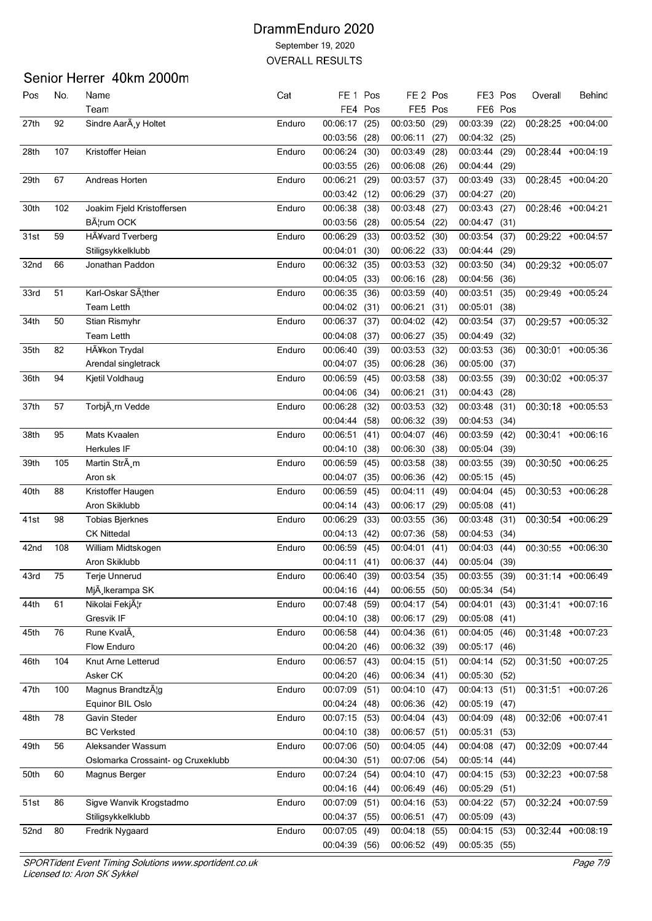### Senior Herrer 40km 2000m

| Pos  | No. | Name                               | Cat    | FE <sub>1</sub> | Pos     | FE 2 Pos      |         | FE3 Pos       |      | Overall | Behind             |
|------|-----|------------------------------------|--------|-----------------|---------|---------------|---------|---------------|------|---------|--------------------|
|      |     | Team                               |        |                 | FE4 Pos |               | FE5 Pos | FE6 Pos       |      |         |                    |
| 27th | 92  | Sindre Aar y Holtet                | Enduro | 00:06:17        | (25)    | 00:03:50      | (29)    | 00:03:39      | (22) |         | 00:28:25 +00:04:00 |
|      |     |                                    |        | 00:03:56        | (28)    | 00:06:11      | (27)    | 00:04:32      | (25) |         |                    |
| 28th | 107 | Kristoffer Heian                   | Enduro | 00:06:24        | (30)    | 00:03:49      | (28)    | 00:03:44      | (29) |         | 00:28:44 +00:04:19 |
|      |     |                                    |        | 00:03:55        | (26)    | 00:06:08      | (26)    | 00:04:44      | (29) |         |                    |
| 29th | 67  | Andreas Horten                     | Enduro | 00:06:21        | (29)    | 00:03:57      | (37)    | 00:03:49      | (33) |         | 00:28:45 +00:04:20 |
|      |     |                                    |        | 00:03:42 (12)   |         | 00:06:29      | (37)    | 00:04:27 (20) |      |         |                    |
| 30th | 102 | Joakim Fjeld Kristoffersen         | Enduro | 00:06:38        | (38)    | 00:03:48      | (27)    | 00:03:43      | (27) |         | 00:28:46 +00:04:21 |
|      |     | B¦rum OCK                          |        | 00:03:56        | (28)    | 00:05:54      | (22)    | 00:04:47      | (31) |         |                    |
| 31st | 59  | HA ¥vard Tverberg                  | Enduro | 00:06:29        | (33)    | 00:03:52 (30) |         | 00:03:54      | (37) |         | 00:29:22 +00:04:57 |
|      |     | Stiligsykkelklubb                  |        | 00:04:01        | (30)    | 00:06:22      | (33)    | 00:04:44      | (29) |         |                    |
| 32nd | 66  | Jonathan Paddon                    | Enduro | 00:06:32        | (35)    | 00:03:53      | (32)    | 00:03:50      | (34) |         | 00:29:32 +00:05:07 |
|      |     |                                    |        | 00:04:05        | (33)    | 00:06:16      | (28)    | 00:04:56      | (36) |         |                    |
| 33rd | 51  | Karl-Oskar SA <sub>l</sub> ther    | Enduro | 00:06:35        | (36)    | 00:03:59      | (40)    | 00:03:51      | (35) |         | 00:29:49 +00:05:24 |
|      |     | <b>Team Letth</b>                  |        | 00:04:02 (31)   |         | 00:06:21      | (31)    | 00:05:01      | (38) |         |                    |
| 34th | 50  | Stian Rismyhr                      | Enduro | 00:06:37 (37)   |         | 00:04:02      | (42)    | 00:03:54      | (37) |         | 00:29:57 +00:05:32 |
|      |     | <b>Team Letth</b>                  |        | 00:04:08        | (37)    | 00:06:27      | (35)    | 00:04:49      | (32) |         |                    |
| 35th | 82  | HÃ¥kon Trydal                      | Enduro | 00:06:40        | (39)    | 00:03:53      |         | 00:03:53      | (36) |         | 00:30:01 +00:05:36 |
|      |     | Arendal singletrack                |        | 00:04:07        |         | 00:06:28      | (32)    | 00:05:00      |      |         |                    |
|      |     |                                    |        |                 | (35)    |               | (36)    |               | (37) |         |                    |
| 36th | 94  | Kjetil Voldhaug                    | Enduro | 00:06:59        | (45)    | 00:03:58      | (38)    | 00:03:55      | (39) |         | 00:30:02 +00:05:37 |
|      |     |                                    |        | 00:04:06        | (34)    | 00:06:21      | (31)    | 00:04:43      | (28) |         |                    |
| 37th | 57  | TorbjA rn Vedde                    | Enduro | 00:06:28        | (32)    | 00:03:53      | (32)    | 00:03:48      | (31) |         | 00:30:18 +00:05:53 |
|      |     |                                    |        | 00:04:44        | (58)    | 00:06:32 (39) |         | 00:04:53      | (34) |         |                    |
| 38th | 95  | Mats Kvaalen                       | Enduro | 00:06:51        | (41)    | 00:04:07      | (46)    | 00:03:59      | (42) |         | 00:30:41 +00:06:16 |
|      |     | <b>Herkules IF</b>                 |        | 00:04:10        | (38)    | 00:06:30      | (38)    | 00:05:04      | (39) |         |                    |
| 39th | 105 | Martin StrÄ, m                     | Enduro | 00:06:59        | (45)    | 00:03:58      | (38)    | 00:03:55      | (39) |         | 00:30:50 +00:06:25 |
|      |     | Aron sk                            |        | 00:04:07        | (35)    | 00:06:36      | (42)    | 00:05:15      | (45) |         |                    |
| 40th | 88  | Kristoffer Haugen                  | Enduro | 00:06:59        | (45)    | 00:04:11      | (49)    | 00:04:04      | (45) |         | 00:30:53 +00:06:28 |
|      |     | Aron Skiklubb                      |        | 00:04:14        | (43)    | 00:06:17      | (29)    | 00:05:08      | (41) |         |                    |
| 41st | 98  | <b>Tobias Bjerknes</b>             | Enduro | 00:06:29        | (33)    | 00:03:55      | (36)    | 00:03:48      | (31) |         | 00:30:54 +00:06:29 |
|      |     | <b>CK Nittedal</b>                 |        | 00:04:13        | (42)    | 00:07:36      | (58)    | 00:04:53      | (34) |         |                    |
| 42nd | 108 | William Midtskogen                 | Enduro | 00:06:59        | (45)    | 00:04:01      | (41)    | 00:04:03 (44) |      |         | 00:30:55 +00:06:30 |
|      |     | Aron Skiklubb                      |        | 00:04:11        | (41)    | 00:06:37      | (44)    | 00:05:04 (39) |      |         |                    |
| 43rd | 75  | Terje Unnerud                      | Enduro | 00:06:40        | (39)    | 00:03:54      | (35)    | 00:03:55 (39) |      |         | 00:31:14 +00:06:49 |
|      |     | Mjà Ikerampa SK                    |        | 00:04:16 (44)   |         | 00:06:55 (50) |         | 00:05:34 (54) |      |         |                    |
| 44th | 61  | Nikolai Fekj¦r                     | Enduro | 00:07:48        | (59)    | 00:04:17      | (54)    | 00:04:01      | (43) |         | 00:31:41 +00:07:16 |
|      |     | Gresvik IF                         |        | 00:04:10        | (38)    | 00:06:17      | (29)    | 00:05:08      | (41) |         |                    |
| 45th | 76  | Rune KvalÂ                         | Enduro | 00:06:58        | (44)    | 00:04:36      | (61)    | 00:04:05      | (46) |         | 00:31:48 +00:07:23 |
|      |     | Flow Enduro                        |        | 00:04:20 (46)   |         | 00:06:32 (39) |         | 00:05:17 (46) |      |         |                    |
| 46th | 104 | Knut Arne Letterud                 | Enduro | 00:06:57 (43)   |         | 00:04:15      | (51)    | 00:04:14      | (52) |         | 00:31:50 +00:07:25 |
|      |     | Asker CK                           |        | 00:04:20        | (46)    | 00:06:34      | (41)    | 00:05:30      | (52) |         |                    |
| 47th | 100 | Magnus Brandtzæg                   | Enduro | 00:07:09        | (51)    | 00:04:10      | (47)    | 00:04:13 (51) |      |         | 00:31:51 +00:07:26 |
|      |     | Equinor BIL Oslo                   |        | 00:04:24 (48)   |         | 00:06:36      | (42)    | 00:05:19      | (47) |         |                    |
| 48th | 78  | Gavin Steder                       | Enduro | 00:07:15 (53)   |         | 00:04:04      | (43)    | 00:04:09      | (48) |         | 00:32:06 +00:07:41 |
|      |     | <b>BC Verksted</b>                 |        | 00:04:10 (38)   |         | 00:06:57      | (51)    | 00:05:31      | (53) |         |                    |
| 49th | 56  | Aleksander Wassum                  | Enduro | 00:07:06 (50)   |         | 00:04:05      | (44)    | 00:04:08      | (47) |         | 00:32:09 +00:07:44 |
|      |     | Oslomarka Crossaint- og Cruxeklubb |        | 00:04:30 (51)   |         | 00:07:06      | (54)    | 00:05:14      | (44) |         |                    |
| 50th | 60  | Magnus Berger                      | Enduro | 00:07:24        | (54)    | 00:04:10      | (47)    | 00:04:15      | (53) |         | 00:32:23 +00:07:58 |
|      |     |                                    |        | 00:04:16        | (44)    | 00:06:49      | (46)    | 00:05:29      | (51) |         |                    |
| 51st | 86  | Sigve Wanvik Krogstadmo            | Enduro | 00:07:09        | (51)    | 00:04:16      | (53)    | 00:04:22      | (57) |         | 00:32:24 +00:07:59 |
|      |     | Stiligsykkelklubb                  |        | 00:04:37 (55)   |         | 00:06:51 (47) |         | 00:05:09 (43) |      |         |                    |
| 52nd | 80  | Fredrik Nygaard                    | Enduro | 00:07:05 (49)   |         | 00:04:18      | (55)    | 00:04:15 (53) |      |         | 00:32:44 +00:08:19 |
|      |     |                                    |        | 00:04:39 (56)   |         | 00:06:52 (49) |         | 00:05:35 (55) |      |         |                    |
|      |     |                                    |        |                 |         |               |         |               |      |         |                    |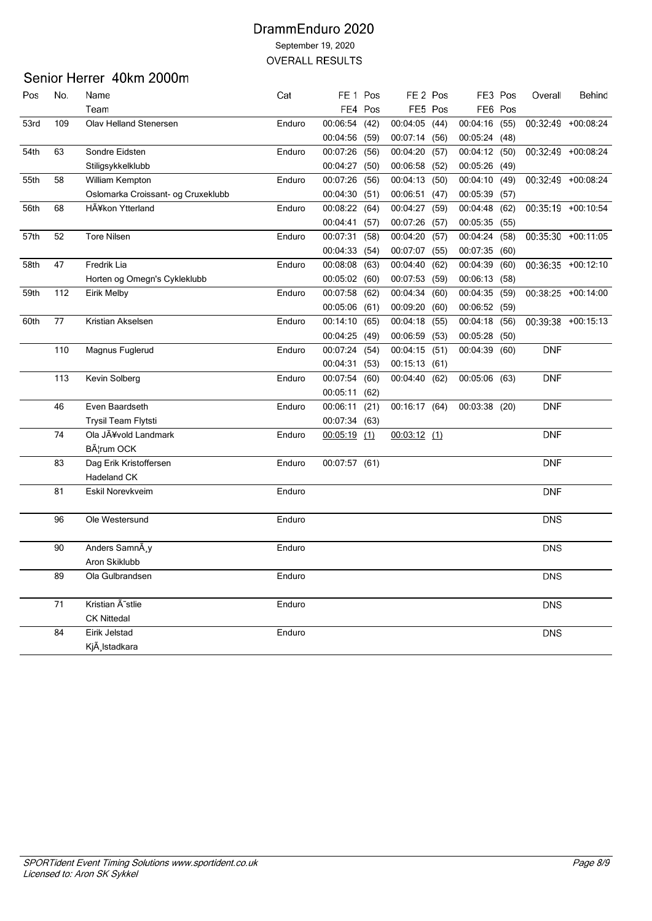# Senior Herrer 40km 2000m

| Pos  | No. | Name                               | Cat    | FE <sub>1</sub> Pos |         | FE <sub>2</sub> Pos |         | FE3 Pos       |      | Overall    | Behind               |
|------|-----|------------------------------------|--------|---------------------|---------|---------------------|---------|---------------|------|------------|----------------------|
|      |     | Team                               |        |                     | FE4 Pos |                     | FE5 Pos | FE6 Pos       |      |            |                      |
| 53rd | 109 | <b>Olav Helland Stenersen</b>      | Enduro | 00:06:54            | (42)    | 00:04:05            | (44)    | 00:04:16      | (55) |            | 00:32:49 +00:08:24   |
|      |     |                                    |        | 00:04:56 (59)       |         | 00:07:14            | (56)    | 00:05:24 (48) |      |            |                      |
| 54th | 63  | Sondre Eidsten                     | Enduro | 00:07:26            | (56)    | 00:04:20            | (57)    | 00:04:12      | (50) |            | 00:32:49 +00:08:24   |
|      |     | Stiligsykkelklubb                  |        | 00:04:27 (50)       |         | 00:06:58 (52)       |         | 00:05:26      | (49) |            |                      |
| 55th | 58  | William Kempton                    | Enduro | 00:07:26            | (56)    | 00:04:13            | (50)    | 00:04:10      | (49) |            | $00:32:49 +00:08:24$ |
|      |     | Oslomarka Croissant- og Cruxeklubb |        | 00:04:30            | (51)    | 00:06:51            | (47)    | 00:05:39      | (57) |            |                      |
| 56th | 68  | HÃ¥kon Ytterland                   | Enduro | 00:08:22            | (64)    | 00:04:27            | (59)    | 00:04:48      | (62) |            | 00:35:19 +00:10:54   |
|      |     |                                    |        | 00:04:41            | (57)    | 00:07:26            | (57)    | 00:05:35      | (55) |            |                      |
| 57th | 52  | <b>Tore Nilsen</b>                 | Enduro | 00:07:31            | (58)    | 00:04:20            | (57)    | 00:04:24      | (58) |            | 00:35:30 +00:11:05   |
|      |     |                                    |        | 00:04:33(54)        |         | 00:07:07            | (55)    | 00:07:35      | (60) |            |                      |
| 58th | 47  | Fredrik Lia                        | Enduro | 00:08:08            | (63)    | 00:04:40            | (62)    | 00:04:39      | (60) |            | 00:36:35 +00:12:10   |
|      |     | Horten og Omegn's Cykleklubb       |        | 00:05:02(60)        |         | 00:07:53            | (59)    | 00:06:13      | (58) |            |                      |
| 59th | 112 | Eirik Melby                        | Enduro | 00:07:58 (62)       |         | 00:04:34            | (60)    | 00:04:35      | (59) |            | $00:38:25 +00:14:00$ |
|      |     |                                    |        | 00:05:06 (61)       |         | 00:09:20            | (60)    | 00:06:52      | (59) |            |                      |
| 60th | 77  | Kristian Akselsen                  | Enduro | 00:14:10            | (65)    | 00:04:18            | (55)    | 00:04:18      | (56) |            | 00:39:38 +00:15:13   |
|      |     |                                    |        | 00:04:25            | (49)    | 00:06:59            | (53)    | 00:05:28      | (50) |            |                      |
|      | 110 | Magnus Fuglerud                    | Enduro | 00:07:24            | (54)    | 00:04:15            | (51)    | 00:04:39      | (60) | <b>DNF</b> |                      |
|      |     |                                    |        | 00:04:31 (53)       |         | 00:15:13 (61)       |         |               |      |            |                      |
|      | 113 | Kevin Solberg                      | Enduro | 00:07:54            | (60)    | 00:04:40(62)        |         | 00:05:06 (63) |      | <b>DNF</b> |                      |
|      |     |                                    |        | 00:05:11            | (62)    |                     |         |               |      |            |                      |
|      | 46  | Even Baardseth                     | Enduro | 00:06:11 (21)       |         | 00:16:17 (64)       |         | 00:03:38 (20) |      | <b>DNF</b> |                      |
|      |     | Trysil Team Flytsti                |        | 00:07:34 (63)       |         |                     |         |               |      |            |                      |
|      | 74  | Ola JÃ¥vold Landmark               | Enduro | $00:05:19$ (1)      |         | $00:03:12$ (1)      |         |               |      | <b>DNF</b> |                      |
|      |     | B¦rum OCK                          |        |                     |         |                     |         |               |      |            |                      |
|      | 83  | Dag Erik Kristoffersen             | Enduro | 00:07:57 (61)       |         |                     |         |               |      | <b>DNF</b> |                      |
|      |     | Hadeland CK                        |        |                     |         |                     |         |               |      |            |                      |
|      | 81  | Eskil Norevkveim                   | Enduro |                     |         |                     |         |               |      | <b>DNF</b> |                      |
|      | 96  | Ole Westersund                     | Enduro |                     |         |                     |         |               |      | <b>DNS</b> |                      |
|      | 90  | Anders SamnA v                     | Enduro |                     |         |                     |         |               |      | <b>DNS</b> |                      |
|      |     | Aron Skiklubb                      |        |                     |         |                     |         |               |      |            |                      |
|      |     |                                    |        |                     |         |                     |         |               |      |            |                      |
|      | 89  | Ola Gulbrandsen                    | Enduro |                     |         |                     |         |               |      | <b>DNS</b> |                      |
|      | 71  | Kristian Ã~stlie                   | Enduro |                     |         |                     |         |               |      | <b>DNS</b> |                      |
|      |     | <b>CK Nittedal</b>                 |        |                     |         |                     |         |               |      |            |                      |
|      | 84  | Eirik Jelstad                      | Enduro |                     |         |                     |         |               |      | <b>DNS</b> |                      |
|      |     | Kjà Istadkara                      |        |                     |         |                     |         |               |      |            |                      |